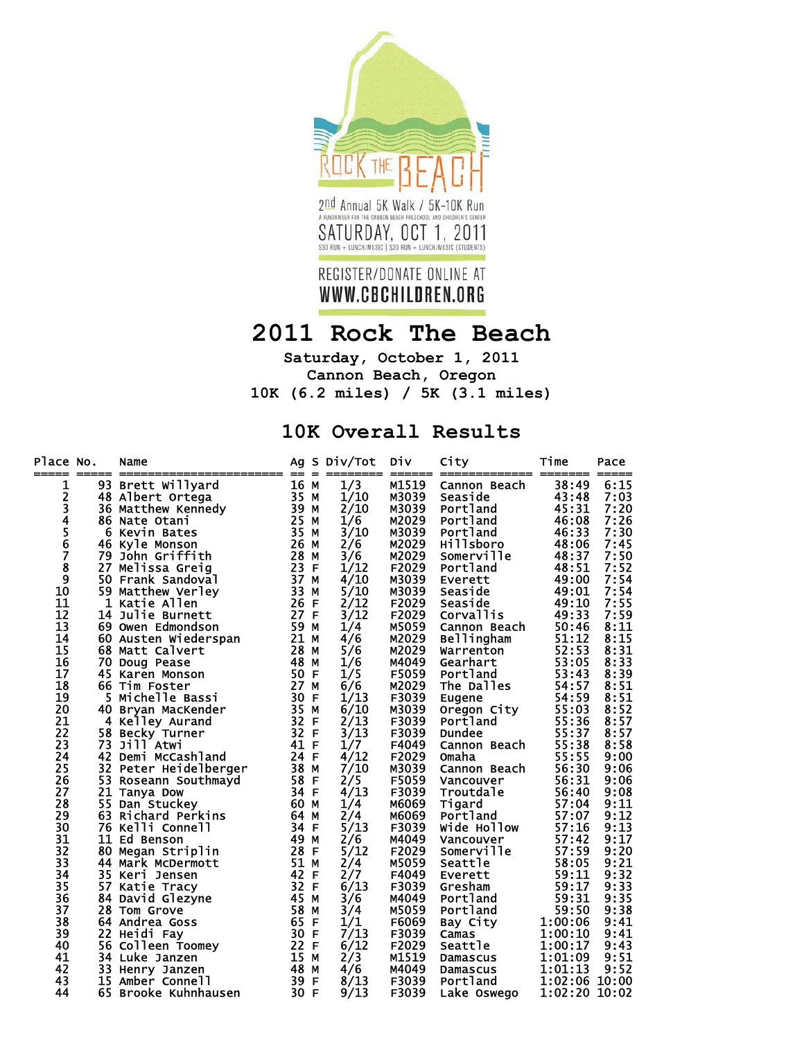

## **2011 Rock The Beach**

**Saturday, October 1, 2011 Cannon Beach, Oregon 10K (6.2 miles) / 5K (3.1 miles)** 

## **10K Overall Results**

| Place No.      | ===== | Name<br>---------------------- | Ag<br>$==$ | S<br>$=$ | Div/Tot               | Div<br>====== | City<br>============== | Time<br>====== | Pace<br>===== |
|----------------|-------|--------------------------------|------------|----------|-----------------------|---------------|------------------------|----------------|---------------|
| 1              |       | 93 Brett Willyard              | 16 M       |          | 1/3                   | M1519         | Cannon Beach           | 38:49          | 6:15          |
|                |       | 48 Albert Ortega               | 35 M       |          | 1/10                  | M3039         | Seaside                | 43:48          | 7:03          |
| 234567         |       | 36 Matthew Kennedy             | 39         | м        | 2/10                  | M3039         | Portland               | 45:31          | 7:20          |
|                |       | 86 Nate Otani                  | 25         | М        | 1/6                   | M2029         | Portland               | 46:08          | 7:26          |
|                |       | 6 Kevin Bates                  | 35         | М        | 3/10                  | M3039         | Portland               | 46:33          | 7:30          |
|                |       | 46 Kyle Monson                 | 26         | M        | 2/6                   | M2029         | Hillsboro              | 48:06          | 7:45          |
|                | 79    | John Griffith                  | 28         | M        | 3/6                   | M2029         | Somerville             | 48:37          | 7:50          |
| 8              |       | 27 Melissa Greig               | 23 F       |          | 1/12                  | F2029         | Portland               | 48:51          | 7:52          |
| $\overline{9}$ |       | 50 Frank Sandoval              | 37         | M        | 4/10                  | M3039         | Everett                | 49:00          | 7:54          |
| 10             |       | 59 Matthew Verley              | 33         | М        | 5/10                  | M3039         | Seaside                | 49:01          | 7:54          |
| 11             |       | 1 Katie Allen                  | 26         | E        | 2/12                  | F2029         | Seaside                | 49:10          | 7:55          |
| 12             |       | 14 Julie Burnett               | 27 F       |          | 3/12                  | F2029         | <b>Corvallis</b>       | 49:33          | 7:59          |
| 13             |       | 69 Owen Edmondson              | 59         | M        | 1/4                   | M5059         | Cannon Beach           | 50:46          | 8:11          |
| 14             |       | 60 Austen Wiederspan           | 21 M       |          | 4/6                   | M2029         | <b>Bellingham</b>      | 51:12          | 8:15          |
| 15             |       | 68 Matt Calvert                | 28         | M        | 5/6                   | M2029         | Warrenton              | 52:53          | 8:31          |
| 16             |       | 70 Doug Pease                  | 48         | М        | 1/6                   | M4049         | Gearhart               | 53:05          | 8:33          |
| 17             |       | 45 Karen Monson                | 50         | F        | 1/5                   | F5059         | Portland               | 53:43          | 8:39          |
| 18             |       | 66 Tim Foster                  | 27         | М        | 6/6                   | M2029         | The Dalles             | 54:57          | 8:51          |
| 19             |       | 5 Michelle Bassi               | 30         | F        | 1/13                  | F3039         | Eugene                 | 54:59          | 8:51          |
| 20             |       | 40 Bryan MacKender             | 35 M       |          | 6/10                  | M3039         | Oregon City            | 55:03          | 8:52          |
| 21             |       | 4 Kelley Aurand                | 32 F       |          | 2/13                  | F3039         | Portland               | 55:36          | 8:57          |
| 22             |       | 58 Becky Turner                | 32         | F        | 3/13                  | F3039         | <b>Dundee</b>          | 55:37          | 8:57          |
| 23             |       | 73 Jill Atwi                   | 41 F       |          |                       | F4049         | Cannon Beach           | 55:38          | 8:58          |
| 24             |       | 42 Demi McCashland             | 24 F       |          | $\frac{1}{7}$<br>4/12 | F2029         | Omaha                  | 55:55          | 9:00          |
| 25             |       | 32 Peter Heidelberger          | 38 M       |          | 7/10                  | M3039         | Cannon Beach           | 56:30          | 9:06          |
| 26             |       | 53 Roseann Southmayd           | 58 F       |          | 2/5                   | F5059         | Vancouver              | 56:31          | 9:06          |
| 27             |       | 21 Tanya Dow                   | 34 F       |          | 4/13                  | F3039         | Troutdale              | 56:40          | 9:08          |
| 28             |       | 55 Dan Stuckey                 | 60 M       |          | 1/4                   | M6069         | Tigard                 | 57:04          | 9:11          |
| 29             |       | 63 Richard Perkins             | 64 M       |          | 2/4                   | M6069         | Portland               | 57:07          | 9:12          |
| 30             |       | <b>76 Kelli Connell</b>        | 34 F       |          | 5/13                  | F3039         | Wide Hollow            | 57:16          | 9:13          |
| 31             |       | 11 Ed Benson                   | 49         | M        | 2/6                   | M4049         | Vancouver              | 57:42          | 9:17          |
| 32             |       | 80 Megan Striplin              | 28         | E        | 5/12                  | F2029         | Somerville             | 57:59          | 9:20          |
| 33             |       | 44 Mark McDermott              | 51         | M        | 2/4                   | M5059         | Seattle                | 58:05          | 9:21          |
| 34             |       | 35 Keri Jensen                 | 42         | F        | 2/7                   | F4049         | Everett                | 59:11          | 9:32          |
| 35             | 57    | Katie Tracy                    | 32         | F        | 6/13                  | F3039         | Gresham                | 59:17          | 9:33          |
| 36             |       | 84 David Glezyne               | 45         | M        | 3/6                   | M4049         | Portland               | 59:31          | 9:35          |
| 37             |       | 28 Tom Grove                   | 58         | М        | 3/4                   | M5059         | Portland               | 59:50          | 9:38          |
| 38             |       | 64 Andrea Goss                 | 65         | F        | 1/1                   | F6069         | Bay City               | 1:00:06        | 9:41          |
| 39             |       | 22 Heidi Fay                   | 30         | F        | 7/13                  | F3039         | Camas                  | 1:00:10        | 9:41          |
| 40             |       | 56 Colleen Toomey              | 22 F       |          | 6/12                  | F2029         | Seattle                | 1:00:17        | 9:43          |
| 41             |       | 34 Luke Janzen                 | 15         | M        | 2/3                   | M1519         | <b>Damascus</b>        | 1:01:09        | 9:51          |
| 42             |       | 33 Henry Janzen                | 48         | М        | 4/6                   | M4049         | <b>Damascus</b>        | 1:01:13        | 9:52          |
| 43             |       | 15 Amber Connell               | 39 F       |          | 8/13                  | F3039         | Portland               | 1:02:06 10:00  |               |
| 44             |       | 65 Brooke Kuhnhausen           | 30 F       |          | 9/13                  | F3039         | Lake Oswego            | 1:02:20 10:02  |               |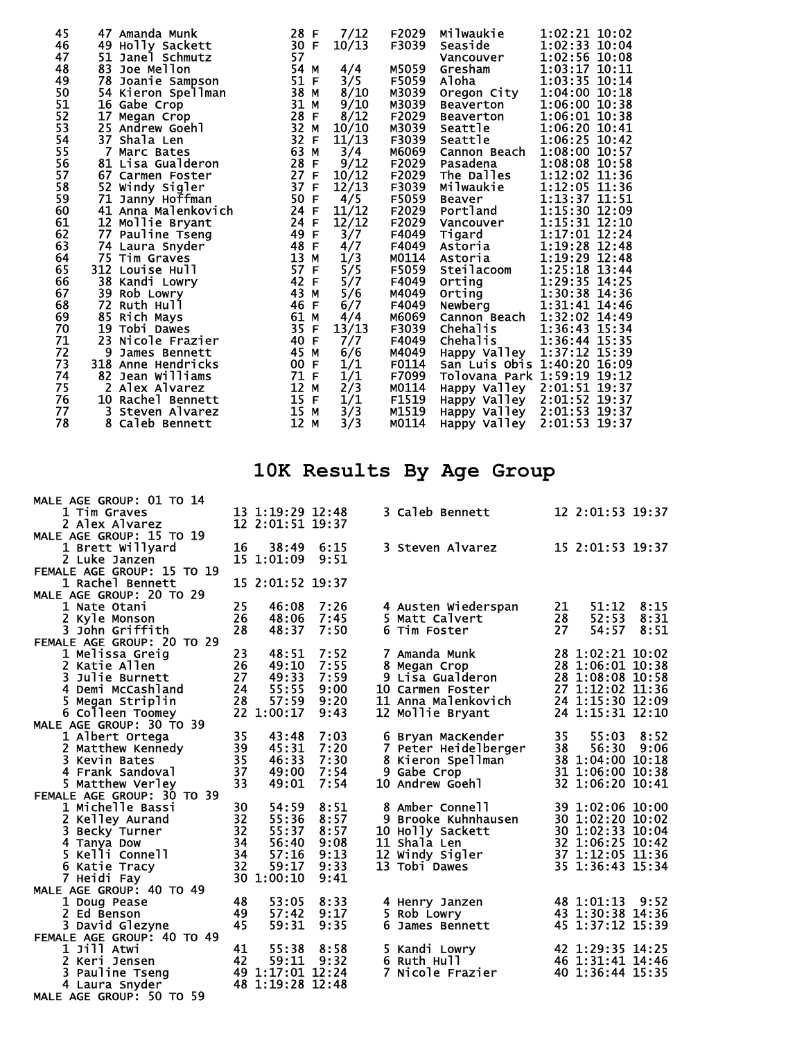| 45             | <b>47 Amanda Munk</b> | 28 F                                                                       | 7/12          | F2029 | Milwaukie                   | 1:02:21 10:02                                            |
|----------------|-----------------------|----------------------------------------------------------------------------|---------------|-------|-----------------------------|----------------------------------------------------------|
| 46             | 49 Holly Sackett      | 30 F                                                                       | 10/13         | F3039 | Seaside                     | 1:02:33 10:04                                            |
| 47             | 51 Janel Schmutz      | 57                                                                         |               |       | Vancouver                   | 1:02:56 10:08                                            |
| 48             | 83 Joe Mellon         | 54 M<br>51 F                                                               | 4/4           | M5059 | Gresham                     | 1:03:17 10:11                                            |
| 49             | 78 Joanie Sampson     |                                                                            | 3/5           | F5059 | Aloha                       | 1:03:35 10:14                                            |
| 50             | 54 Kieron Spellman    | $\frac{38}{31}$ M<br>31 M                                                  | 8/10          | M3039 | Oregon City                 | 1:04:00 10:18                                            |
| 51             | 16 Gabe Crop          |                                                                            | 9/10          | M3039 | Beaverton                   | 1:06:00 10:38                                            |
| 52             | 17 Megan Crop         | 28<br>32<br>32<br>32<br>53<br>53<br>28<br>28<br>28<br>28<br>28<br>28<br>28 | 8/12          | F2029 | Beaverton                   | 1:06:01 10:38                                            |
| 53             | 25 Andrew Goehl       |                                                                            | 10/10         | M3039 | Seattle                     | 1:06:20 10:41                                            |
| 54             | 37 Shala Len          |                                                                            | 11/13         | F3039 | Seattle                     | 1:06:25 10:42                                            |
|                | 7 Marc Bates          |                                                                            | 3/4           | M6069 | Cannon Beach                | 1:08:00 10:57                                            |
| 55<br>56<br>57 | 81 Lisa Gualderon     |                                                                            | 9/12          | F2029 | Pasadena                    | 1:08:08 10:58                                            |
|                | 67 Carmen Foster      | $\frac{27}{37}$ F<br>37 F                                                  | 10/12         | F2029 | The Dalles                  | 1:12:02 11:36                                            |
| 58             | 52 Windy Sigler       |                                                                            | 12/13         | F3039 | Milwaukie                   | 1:12:05 11:36                                            |
| 59             | 71 Janny Hoffman      | 50 F                                                                       | 4/5           | F5059 | <b>Beaver</b>               | $1:13:37$ $11:51$<br>$1:15:30$ $12:09$                   |
| 60             | 41 Anna Malenkovich   | $24$ F<br>$24$ F                                                           | 11/12         | F2029 | Portland                    |                                                          |
| 61             | 12 Mollie Bryant      |                                                                            | 12/12         | F2029 | Vancouver                   | 1:15:31 12:10                                            |
| 62             | 77 Pauline Tseng      | 49 F                                                                       | 3/7           | F4049 | Tigard                      | 1:17:01 12:24                                            |
| 63             | 74 Laura Snyder       | 48 F                                                                       | 4/7           | F4049 | Astoria                     | 1:19:28 12:48                                            |
| 64             | 75 Tim Graves         | 13 M                                                                       | 1/3           | M0114 | Astoria                     | 1:19:29 12:48                                            |
| 65             | 312 Louise Hull       | 57 F                                                                       | 5/5           | F5059 | <b>Steilacoom</b>           | 1:25:18 13:44                                            |
| 66             | 38 Kandi Lowry        | 42 F                                                                       | 5/7           | F4049 | Orting                      | 1:29:35 14:25                                            |
| 67             | 39<br>Rob Lowry       | 43 M                                                                       | 5/6           | M4049 | Orting                      | 1:30:38 14:36                                            |
| 68<br>69       | 72 Ruth Hull          | 46 F                                                                       | 6/7           | F4049 | Newberg                     | 1:31:41 14:46                                            |
|                | 85 Rich Mays          | 61 M                                                                       | 4/4           | M6069 | Cannon Beach                | 1:32:02 14:49                                            |
| 70             | 19 Tobi Dawes         | 35 F                                                                       | 13/13         | F3039 | Chehalis                    | 1:36:43 15:34                                            |
| 71             | 23 Nicole Frazier     | 40 F                                                                       | 7/7           | F4049 | Chehalis                    | 1:36:44 15:35                                            |
| 72             | 9<br>James Bennett    | 45 M                                                                       | 6/6           | M4049 |                             | Happy Valley 1:37:12 15:39                               |
| 73             | 318 Anne Hendricks    | 00 F                                                                       | 1/1           | F0114 | San Luis Obis 1:40:20 16:09 |                                                          |
| 74             | 82 Jean Williams      | 71 F                                                                       | 1/1           | F7099 | Tolovana Park 1:59:19 19:12 |                                                          |
| 75             | 2 Alex Alvarez        | 12 M                                                                       | 2/3           | M0114 |                             | Happy Valley 2:01:51 19:37                               |
| 76             | 10 Rachel Bennett     | 15 F                                                                       |               | F1519 |                             |                                                          |
| 77             | 3 Steven Alvarez      | 15 M                                                                       | $\frac{1}{3}$ | M1519 |                             | Happy Valley 2:01:52 19:37<br>Happy Valley 2:01:53 19:37 |
| 78             | 8 Caleb Bennett       | 12 M                                                                       | 3/3           | M0114 | Happy Valley 2:01:53 19:37  |                                                          |

## **10K Results By Age Group**

| MALE AGE GROUP: 01 TO 14     |    |                  |       |   |                                                     |    |                                                                                                      |      |
|------------------------------|----|------------------|-------|---|-----------------------------------------------------|----|------------------------------------------------------------------------------------------------------|------|
| 1 Tim Graves                 |    | 13 1:19:29 12:48 |       |   | 3 Caleb Bennett                                     |    | 12 2:01:53 19:37                                                                                     |      |
| 2 Alex Alvarez               |    | 12 2:01:51 19:37 |       |   |                                                     |    |                                                                                                      |      |
| MALE AGE GROUP: 15 TO 19     |    |                  |       |   |                                                     |    |                                                                                                      |      |
| 1 Brett Willyard             | 16 | 38:49            | 6:15  |   | 3 Steven Alvarez                                    |    | 15 2:01:53 19:37                                                                                     |      |
| 2 Luke Janzen                |    | 15 1:01:09       | 9:51  |   |                                                     |    |                                                                                                      |      |
| FEMALE AGE GROUP: 15 TO 19   |    |                  |       |   |                                                     |    |                                                                                                      |      |
|                              |    |                  |       |   |                                                     |    |                                                                                                      |      |
| 1 Rachel Bennett             |    | 15 2:01:52 19:37 |       |   |                                                     |    |                                                                                                      |      |
| MALE AGE GROUP: 20 TO 29     |    |                  |       |   |                                                     |    |                                                                                                      |      |
| 1 Nate Otani                 | 25 | 46:08            | 7:26  |   | 4 Austen Wiederspan                                 | 21 | 51:12                                                                                                | 8:15 |
| 2 Kyle Monson                | 26 | 48:06            | 7:45  |   | 5 Matt Calvert                                      | 28 | 52:53                                                                                                | 8:31 |
| 3 John Griffith              | 28 | 48:37            | 7:50  |   | 6 Tim Foster                                        | 27 | 54:57                                                                                                | 8:51 |
| FEMALE AGE GROUP: 20 TO 29   |    |                  |       |   |                                                     |    |                                                                                                      |      |
| 1 Melissa Greig              | 23 | 48:51            | 7:52  |   | 7 Amanda Munk                                       |    | 28 1:02:21 10:02                                                                                     |      |
| 2 Katie Allen                | 26 | 49:10            | 7:55  |   | 8 Megan Crop                                        |    | 28 1:06:01 10:38                                                                                     |      |
| 3 Julie Burnett              | 27 | 49:33            | 7:59  |   | 9 Lisa Gualderon                                    |    | 28 1:08:08 10:58                                                                                     |      |
| 4 Demi McCashland            | 24 | 55:55            | 9:00  |   | 10 Carmen Foster                                    |    | 27 1:12:02 11:36                                                                                     |      |
| 5 Megan Striplin             | 28 | 57:59            | 9:20  |   | 11 Anna Malenkovich                                 |    | 24 1:15:30 12:09                                                                                     |      |
| 6 Colleen Toomey             |    | 22 1:00:17       | 9:43  |   | 12 Mollie Bryant                                    |    | 24 1:15:31 12:10                                                                                     |      |
| MALE AGE GROUP: 30 TO 39     |    |                  |       |   |                                                     |    |                                                                                                      |      |
| 1 Albert Ortega              | 35 | 43:48            | 7:03  |   | 6 Bryan MacKender                                   | 35 | 55:03                                                                                                | 8:52 |
| 2 Matthew Kennedy            | 39 | 45:31            | 7:20  |   | 7 Peter Heidelberger                                | 38 | 56:30 9:06                                                                                           |      |
| 3 Kevin Bates                | 35 | 46:33            | 7:30  |   |                                                     |    | 38 1:04:00 10:18                                                                                     |      |
| 4 Frank Sandoval             | 37 | 49:00            | 7:54  |   | 8 Kieron Spellman<br>9 Gabe Crop<br>10 Andrew Goehl |    | 31 1:06:00 10:38                                                                                     |      |
| 5 Matthew Verley             | 33 | 49:01            | 7:54  |   |                                                     |    | 32 1:06:20 10:41                                                                                     |      |
| FEMALE AGE GROUP: 30 TO 39   |    |                  |       |   |                                                     |    |                                                                                                      |      |
| 1 Michelle Bassi             | 30 | 54:59            | 8:51  |   | 8 Amber Connell                                     |    | 39 1:02:06 10:00                                                                                     |      |
| 2 Kelley Aurand              | 32 | 55:36            | 8:57  |   | 9 Brooke Kuhnhausen                                 |    |                                                                                                      |      |
| 3 Becky Turner               | 32 | 55:37            | 8:57  |   | 10 Holly Sackett                                    |    | isen 30 1:02:20 10:02<br>30 1:02:33 10:04<br>32 1:06:25 10:42<br>37 1:12:05 11:36<br>37 1:2:05 11:36 |      |
| 4 Tanya Dow                  | 34 | 56:40            | 9:08  |   | 11 Shala Len                                        |    |                                                                                                      |      |
| 5 Kelli Connell              | 34 | 57:16            | 9:13  |   | 12 Windy Sigler                                     |    |                                                                                                      |      |
|                              | 32 | 59:17            | 9:33  |   | 13 Tobi Dawes                                       |    | 35 1:36:43 15:34                                                                                     |      |
| 6 Katie Tracy<br>7 Heidi Fay | 30 | 1:00:10          | 9:41  |   |                                                     |    |                                                                                                      |      |
|                              |    |                  |       |   |                                                     |    |                                                                                                      |      |
| MALE AGE GROUP: 40 TO 49     |    |                  |       |   |                                                     |    |                                                                                                      |      |
| 1 Doug Pease                 | 48 | 53:05            | 8:33  |   | 4 Henry Janzen                                      |    | 48 1:01:13 9:52                                                                                      |      |
| 2 Ed Benson                  | 49 | 57:42            | 9:17  |   | 5 Rob Lowry                                         |    | 43 1:30:38 14:36                                                                                     |      |
| 3 David Glezyne              | 45 | 59:31            | 9:35  |   | 6 James Bennett                                     |    | 45 1:37:12 15:39                                                                                     |      |
| FEMALE AGE GROUP: 40 TO 49   |    |                  |       |   |                                                     |    |                                                                                                      |      |
| 1 Jill Atwi                  | 41 | 55:38            | 8:58  |   | 5 Kandi Lowry                                       |    | 42 1:29:35 14:25                                                                                     |      |
| 2 Keri Jensen                | 42 | 59:11            | 9:32  |   | 6 Ruth Hull                                         |    | 46 1:31:41 14:46                                                                                     |      |
| 3 Pauline Tseng              |    | 49 1:17:01 12:24 |       | 7 | Nicole Frazier                                      |    | 40 1:36:44 15:35                                                                                     |      |
| 4 Laura Snyder               |    | 48 1:19:28       | 12:48 |   |                                                     |    |                                                                                                      |      |
| MALE AGE GROUP: 50 TO 59     |    |                  |       |   |                                                     |    |                                                                                                      |      |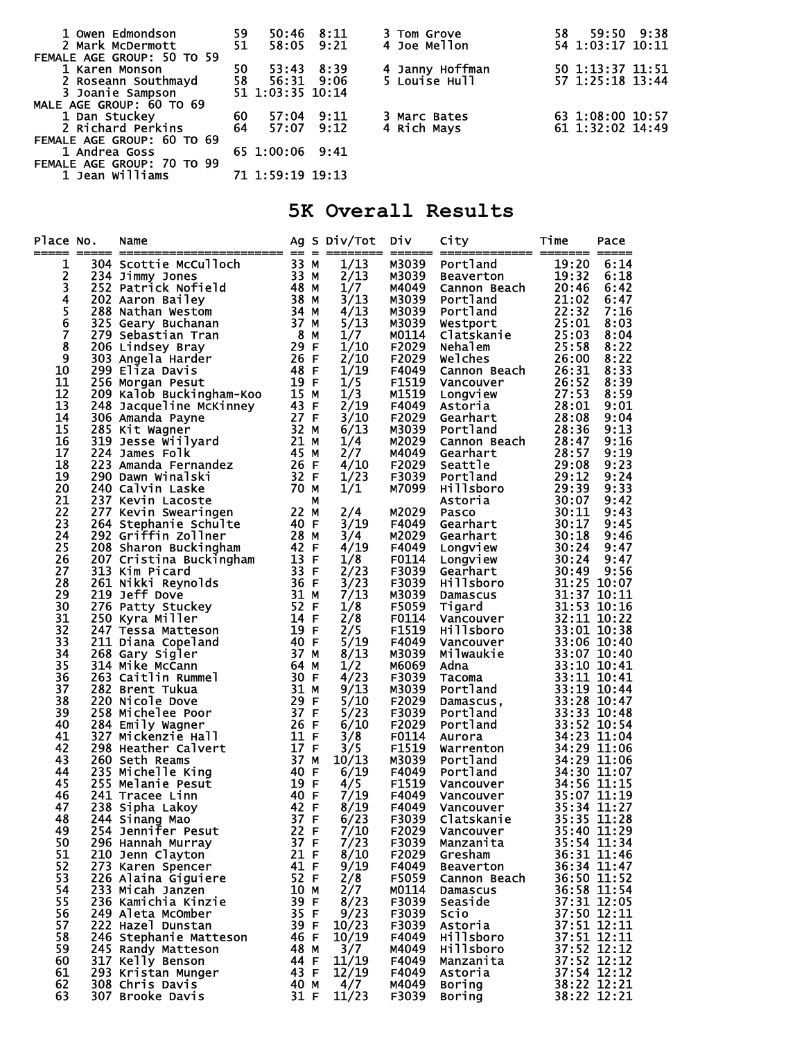| 1 Owen Edmondson           | 59<br>51 |                                   | 50:46 8:11 | 3 Tom Grove                      | 58 59:50 9:38    |  |
|----------------------------|----------|-----------------------------------|------------|----------------------------------|------------------|--|
| 2 Mark McDermott           |          |                                   | 58:05 9:21 | 4 Joe Mellon                     | 54 1:03:17 10:11 |  |
| FEMALE AGE GROUP: 50 TO 59 |          |                                   |            |                                  |                  |  |
| 1 Karen Monson             | 50       |                                   | 53:43 8:39 | 4 Janny Hoffman<br>5 Louise Hull | 50 1:13:37 11:51 |  |
| 2 Roseann Southmayd        |          | 58 56:31 9:06<br>51 1:03:35 10:14 |            |                                  | 57 1:25:18 13:44 |  |
| 3 Joanie Sampson           |          |                                   |            |                                  |                  |  |
| MALE AGE GROUP: 60 TO 69   |          |                                   |            |                                  |                  |  |
| 1 Dan Stuckey              | 60       | 57:04 9:11                        |            | 3 Marc Bates                     | 63 1:08:00 10:57 |  |
| 2 Richard Perkins          | 64       | 57:07 9:12                        |            | 4 Rich Mays                      | 61 1:32:02 14:49 |  |
| FEMALE AGE GROUP: 60 TO 69 |          |                                   |            |                                  |                  |  |
| 1 Andrea Goss              |          | 65 1:00:06 9:41                   |            |                                  |                  |  |
| FEMALE AGE GROUP: 70 TO 99 |          |                                   |            |                                  |                  |  |
| 1 Jean Williams            |          | 71 1:59:19 19:13                  |            |                                  |                  |  |

## **5K Overall Results**

| 1/13<br>M3039<br>o. Name $\frac{23}{304}$ Scottie McCulloch<br>2014 Scottie McCulloch<br>2022 Patrick Nofield<br>2022 Natrick Nofield<br>2022 Natrick Nofield<br>2022 Natrick Nofield<br>2022 Natrick Nofield<br>2023 Nathan Tran<br>2016 Lindsey Bray<br>2016 Lindse<br>Portland<br>Beaverton<br>19:20<br>6:14<br>1<br>2<br>2/13<br>19:32<br>6:18<br>м3039<br>3<br>1/7<br>20:46<br>M4049<br>Cannon Beach<br>6:42<br>$\begin{array}{c}\n4 \\ 5 \\ 6\n\end{array}$<br>3/13<br>M3039<br>21:02<br>Portland<br>6:47<br>4/13<br>22:32<br>M3039<br><b>Portland<br/>Westport<br/>Clatskanie<br/>Nehalem</b><br>7:16<br>5/13<br>25:01<br>M3039<br>8:03<br>Ž<br>1/7<br>25:03<br>M0114<br>8:04<br>$\overline{\mathbf{8}}$<br>1/10<br>25:58<br>F2029<br>8:22<br>9<br>2/10<br>Welches<br>Cannon Beach<br>Cannon Beach<br>26:31<br>F2029<br>8:22<br>1/19<br>10<br>F4049<br>8:33<br>11<br>1/5<br>26:52<br>F1519<br>8:39<br>Vancouver<br>12<br>1/3<br>27:53<br>M1519<br>8:59<br><b>Longview<br/>Astoria<br/>Gearhart<br/>Portland</b><br>$\frac{1}{2}$ /19<br>13<br>F4049<br>28:01<br>9:01<br>14<br>3/10<br>F2029<br>28:08<br>9:04<br>28:36<br>15<br>6/13<br>M3039<br>9:13<br>16<br>1/4<br>M2029<br>28:47<br>9:16<br>Cannon Beach<br>2/7<br>17<br>M4049<br>Portiana<br>Cannon Beach<br>28:37 9:15<br>Gearhart<br>28:47 9:16<br>Seattle<br>Portland<br>29:08 9:23<br>Portland<br>1111shoro<br>29:39 9:33<br>Astoria<br>29:08 9:23<br>29:33<br>Astoria<br>29:08 9:23<br>29:33<br>Astoria<br>20:07 9:42<br>Tigard<br>Gearhart<br>Longv<br>18<br>4/10<br>F2029<br>19<br>1/23<br>F3039<br>20<br>1/1<br>M7099<br>21<br>22<br>M2029<br>2/4<br>23<br>3/19<br>F4049<br>24<br>3/4<br>M2029<br>4/19<br>25<br>F4049<br>26<br>1/8<br>F0114<br>27<br>2/23<br>F3039<br>28<br>$\frac{3}{2}$<br>$\frac{7}{2}$<br>$\frac{3}{1}$<br>F3039<br>29<br>M3039<br>30<br>1/8<br>F5059<br>31<br>2/8<br>F0114<br>2/5<br>32<br>F1519<br>5/19<br>33<br>F4049<br>8/13<br>34<br>M3039<br>35<br>1/2<br>M6069<br>4/23<br>36<br>F3039<br>37<br>9/13<br>M3039<br>38<br>5/10<br>F2029<br>5/23<br>39<br>F3039<br>40<br>6/10<br>F2029<br>41<br>3/8<br>F0114<br>3/5<br>42<br>F1519<br>43<br>10/13<br>M3039<br>6/19<br>44<br>F4049<br>45<br>4/5<br>F1519<br>7/19<br>46<br>F4049<br>8/19<br>47<br>F4049<br>Clatskanie 35:35 11:28<br>244 Sinang Mao <sup>2</sup> 37 F<br>6/23<br>48<br>F3039<br>35:40 11:29<br>22 F<br>7/10<br>F2029<br>49<br>254 Jennifer Pesut<br>Vancouver<br>35:54 11:34<br>50<br>37 F<br>7/23<br>F3039<br>Manzanita<br>296 Hannah Murray<br>36:31 11:46<br>51<br>21 F<br>8/10<br>F2029<br>210 Jenn Clayton<br>Gresham<br>36:34 11:47<br>52<br>41 F<br>9/19<br>273 Karen Spencer<br>F4049<br>Beaverton<br>53<br>36:50 11:52<br>36:58 11:54<br>226 Alaina Giguiere<br>52 F<br>$\frac{2}{8}$<br>$\frac{2}{7}$<br>$\frac{8}{23}$<br>F5059<br>Cannon Beach<br>54<br>10 M<br>M0114<br>233 Micah Janzen<br>Damascus<br>37:31 12:05<br>55<br>39 F<br>236 Kamichia Kinzie<br>F3039<br>Seaside<br>9/23<br>37:50 12:11<br>37:51 12:11<br>37:51 12:11<br>37:52 12:12<br>37:52 12:12<br>56<br>35 F<br>249 Aleta McOmber<br>F3039<br>Scio<br>57<br>222 Hazel Dunstan<br>39 F<br>10/23<br>F3039<br>Astoria<br>58<br>10/19<br>246 Stephanie Matteson<br>46 F<br>F4049<br><b>Hillsboro</b><br>59<br>3/7<br>245 Randy Matteson<br>48 M<br>M4049<br><b>Hillsboro</b><br>60<br>11/19<br>317 Kelly Benson<br>44 F<br>F4049<br>Manzanita<br>37:54 12:12<br>61<br>43 F<br>12/19<br>293 Kristan Munger<br>F4049<br>Astoria<br>38:22 12:21<br>62<br>4/7<br>308 Chris Davis<br>40 M<br>M4049<br>Boring<br>38:22 12:21<br>63<br>31 F<br>11/23<br>307 Brooke Davis<br>F3039<br>Boring | Place No. | Name |  | Ag S Div/Tot Div | City | Time | Pace |
|-----------------------------------------------------------------------------------------------------------------------------------------------------------------------------------------------------------------------------------------------------------------------------------------------------------------------------------------------------------------------------------------------------------------------------------------------------------------------------------------------------------------------------------------------------------------------------------------------------------------------------------------------------------------------------------------------------------------------------------------------------------------------------------------------------------------------------------------------------------------------------------------------------------------------------------------------------------------------------------------------------------------------------------------------------------------------------------------------------------------------------------------------------------------------------------------------------------------------------------------------------------------------------------------------------------------------------------------------------------------------------------------------------------------------------------------------------------------------------------------------------------------------------------------------------------------------------------------------------------------------------------------------------------------------------------------------------------------------------------------------------------------------------------------------------------------------------------------------------------------------------------------------------------------------------------------------------------------------------------------------------------------------------------------------------------------------------------------------------------------------------------------------------------------------------------------------------------------------------------------------------------------------------------------------------------------------------------------------------------------------------------------------------------------------------------------------------------------------------------------------------------------------------------------------------------------------------------------------------------------------------------------------------------------------------------------------------------------------------------------------------------------------------------------------------------------------------------------------------------------------------------------------------------------------------------------------------------------------------------------------------------------------------------------------------------------------------------------------------------------------------------------------------------------------------------------------------------------------------------------------------------------------------------------------------------------------------------------------------------------------------------------------------------------------------------------------------------------------------------------------------------------------------------------------------------------------------------------------------------------------|-----------|------|--|------------------|------|------|------|
|                                                                                                                                                                                                                                                                                                                                                                                                                                                                                                                                                                                                                                                                                                                                                                                                                                                                                                                                                                                                                                                                                                                                                                                                                                                                                                                                                                                                                                                                                                                                                                                                                                                                                                                                                                                                                                                                                                                                                                                                                                                                                                                                                                                                                                                                                                                                                                                                                                                                                                                                                                                                                                                                                                                                                                                                                                                                                                                                                                                                                                                                                                                                                                                                                                                                                                                                                                                                                                                                                                                                                                                                                       |           |      |  |                  |      |      |      |
|                                                                                                                                                                                                                                                                                                                                                                                                                                                                                                                                                                                                                                                                                                                                                                                                                                                                                                                                                                                                                                                                                                                                                                                                                                                                                                                                                                                                                                                                                                                                                                                                                                                                                                                                                                                                                                                                                                                                                                                                                                                                                                                                                                                                                                                                                                                                                                                                                                                                                                                                                                                                                                                                                                                                                                                                                                                                                                                                                                                                                                                                                                                                                                                                                                                                                                                                                                                                                                                                                                                                                                                                                       |           |      |  |                  |      |      |      |
|                                                                                                                                                                                                                                                                                                                                                                                                                                                                                                                                                                                                                                                                                                                                                                                                                                                                                                                                                                                                                                                                                                                                                                                                                                                                                                                                                                                                                                                                                                                                                                                                                                                                                                                                                                                                                                                                                                                                                                                                                                                                                                                                                                                                                                                                                                                                                                                                                                                                                                                                                                                                                                                                                                                                                                                                                                                                                                                                                                                                                                                                                                                                                                                                                                                                                                                                                                                                                                                                                                                                                                                                                       |           |      |  |                  |      |      |      |
|                                                                                                                                                                                                                                                                                                                                                                                                                                                                                                                                                                                                                                                                                                                                                                                                                                                                                                                                                                                                                                                                                                                                                                                                                                                                                                                                                                                                                                                                                                                                                                                                                                                                                                                                                                                                                                                                                                                                                                                                                                                                                                                                                                                                                                                                                                                                                                                                                                                                                                                                                                                                                                                                                                                                                                                                                                                                                                                                                                                                                                                                                                                                                                                                                                                                                                                                                                                                                                                                                                                                                                                                                       |           |      |  |                  |      |      |      |
|                                                                                                                                                                                                                                                                                                                                                                                                                                                                                                                                                                                                                                                                                                                                                                                                                                                                                                                                                                                                                                                                                                                                                                                                                                                                                                                                                                                                                                                                                                                                                                                                                                                                                                                                                                                                                                                                                                                                                                                                                                                                                                                                                                                                                                                                                                                                                                                                                                                                                                                                                                                                                                                                                                                                                                                                                                                                                                                                                                                                                                                                                                                                                                                                                                                                                                                                                                                                                                                                                                                                                                                                                       |           |      |  |                  |      |      |      |
|                                                                                                                                                                                                                                                                                                                                                                                                                                                                                                                                                                                                                                                                                                                                                                                                                                                                                                                                                                                                                                                                                                                                                                                                                                                                                                                                                                                                                                                                                                                                                                                                                                                                                                                                                                                                                                                                                                                                                                                                                                                                                                                                                                                                                                                                                                                                                                                                                                                                                                                                                                                                                                                                                                                                                                                                                                                                                                                                                                                                                                                                                                                                                                                                                                                                                                                                                                                                                                                                                                                                                                                                                       |           |      |  |                  |      |      |      |
|                                                                                                                                                                                                                                                                                                                                                                                                                                                                                                                                                                                                                                                                                                                                                                                                                                                                                                                                                                                                                                                                                                                                                                                                                                                                                                                                                                                                                                                                                                                                                                                                                                                                                                                                                                                                                                                                                                                                                                                                                                                                                                                                                                                                                                                                                                                                                                                                                                                                                                                                                                                                                                                                                                                                                                                                                                                                                                                                                                                                                                                                                                                                                                                                                                                                                                                                                                                                                                                                                                                                                                                                                       |           |      |  |                  |      |      |      |
|                                                                                                                                                                                                                                                                                                                                                                                                                                                                                                                                                                                                                                                                                                                                                                                                                                                                                                                                                                                                                                                                                                                                                                                                                                                                                                                                                                                                                                                                                                                                                                                                                                                                                                                                                                                                                                                                                                                                                                                                                                                                                                                                                                                                                                                                                                                                                                                                                                                                                                                                                                                                                                                                                                                                                                                                                                                                                                                                                                                                                                                                                                                                                                                                                                                                                                                                                                                                                                                                                                                                                                                                                       |           |      |  |                  |      |      |      |
|                                                                                                                                                                                                                                                                                                                                                                                                                                                                                                                                                                                                                                                                                                                                                                                                                                                                                                                                                                                                                                                                                                                                                                                                                                                                                                                                                                                                                                                                                                                                                                                                                                                                                                                                                                                                                                                                                                                                                                                                                                                                                                                                                                                                                                                                                                                                                                                                                                                                                                                                                                                                                                                                                                                                                                                                                                                                                                                                                                                                                                                                                                                                                                                                                                                                                                                                                                                                                                                                                                                                                                                                                       |           |      |  |                  |      |      |      |
|                                                                                                                                                                                                                                                                                                                                                                                                                                                                                                                                                                                                                                                                                                                                                                                                                                                                                                                                                                                                                                                                                                                                                                                                                                                                                                                                                                                                                                                                                                                                                                                                                                                                                                                                                                                                                                                                                                                                                                                                                                                                                                                                                                                                                                                                                                                                                                                                                                                                                                                                                                                                                                                                                                                                                                                                                                                                                                                                                                                                                                                                                                                                                                                                                                                                                                                                                                                                                                                                                                                                                                                                                       |           |      |  |                  |      |      |      |
|                                                                                                                                                                                                                                                                                                                                                                                                                                                                                                                                                                                                                                                                                                                                                                                                                                                                                                                                                                                                                                                                                                                                                                                                                                                                                                                                                                                                                                                                                                                                                                                                                                                                                                                                                                                                                                                                                                                                                                                                                                                                                                                                                                                                                                                                                                                                                                                                                                                                                                                                                                                                                                                                                                                                                                                                                                                                                                                                                                                                                                                                                                                                                                                                                                                                                                                                                                                                                                                                                                                                                                                                                       |           |      |  |                  |      |      |      |
|                                                                                                                                                                                                                                                                                                                                                                                                                                                                                                                                                                                                                                                                                                                                                                                                                                                                                                                                                                                                                                                                                                                                                                                                                                                                                                                                                                                                                                                                                                                                                                                                                                                                                                                                                                                                                                                                                                                                                                                                                                                                                                                                                                                                                                                                                                                                                                                                                                                                                                                                                                                                                                                                                                                                                                                                                                                                                                                                                                                                                                                                                                                                                                                                                                                                                                                                                                                                                                                                                                                                                                                                                       |           |      |  |                  |      |      |      |
|                                                                                                                                                                                                                                                                                                                                                                                                                                                                                                                                                                                                                                                                                                                                                                                                                                                                                                                                                                                                                                                                                                                                                                                                                                                                                                                                                                                                                                                                                                                                                                                                                                                                                                                                                                                                                                                                                                                                                                                                                                                                                                                                                                                                                                                                                                                                                                                                                                                                                                                                                                                                                                                                                                                                                                                                                                                                                                                                                                                                                                                                                                                                                                                                                                                                                                                                                                                                                                                                                                                                                                                                                       |           |      |  |                  |      |      |      |
|                                                                                                                                                                                                                                                                                                                                                                                                                                                                                                                                                                                                                                                                                                                                                                                                                                                                                                                                                                                                                                                                                                                                                                                                                                                                                                                                                                                                                                                                                                                                                                                                                                                                                                                                                                                                                                                                                                                                                                                                                                                                                                                                                                                                                                                                                                                                                                                                                                                                                                                                                                                                                                                                                                                                                                                                                                                                                                                                                                                                                                                                                                                                                                                                                                                                                                                                                                                                                                                                                                                                                                                                                       |           |      |  |                  |      |      |      |
|                                                                                                                                                                                                                                                                                                                                                                                                                                                                                                                                                                                                                                                                                                                                                                                                                                                                                                                                                                                                                                                                                                                                                                                                                                                                                                                                                                                                                                                                                                                                                                                                                                                                                                                                                                                                                                                                                                                                                                                                                                                                                                                                                                                                                                                                                                                                                                                                                                                                                                                                                                                                                                                                                                                                                                                                                                                                                                                                                                                                                                                                                                                                                                                                                                                                                                                                                                                                                                                                                                                                                                                                                       |           |      |  |                  |      |      |      |
|                                                                                                                                                                                                                                                                                                                                                                                                                                                                                                                                                                                                                                                                                                                                                                                                                                                                                                                                                                                                                                                                                                                                                                                                                                                                                                                                                                                                                                                                                                                                                                                                                                                                                                                                                                                                                                                                                                                                                                                                                                                                                                                                                                                                                                                                                                                                                                                                                                                                                                                                                                                                                                                                                                                                                                                                                                                                                                                                                                                                                                                                                                                                                                                                                                                                                                                                                                                                                                                                                                                                                                                                                       |           |      |  |                  |      |      |      |
|                                                                                                                                                                                                                                                                                                                                                                                                                                                                                                                                                                                                                                                                                                                                                                                                                                                                                                                                                                                                                                                                                                                                                                                                                                                                                                                                                                                                                                                                                                                                                                                                                                                                                                                                                                                                                                                                                                                                                                                                                                                                                                                                                                                                                                                                                                                                                                                                                                                                                                                                                                                                                                                                                                                                                                                                                                                                                                                                                                                                                                                                                                                                                                                                                                                                                                                                                                                                                                                                                                                                                                                                                       |           |      |  |                  |      |      |      |
|                                                                                                                                                                                                                                                                                                                                                                                                                                                                                                                                                                                                                                                                                                                                                                                                                                                                                                                                                                                                                                                                                                                                                                                                                                                                                                                                                                                                                                                                                                                                                                                                                                                                                                                                                                                                                                                                                                                                                                                                                                                                                                                                                                                                                                                                                                                                                                                                                                                                                                                                                                                                                                                                                                                                                                                                                                                                                                                                                                                                                                                                                                                                                                                                                                                                                                                                                                                                                                                                                                                                                                                                                       |           |      |  |                  |      |      |      |
|                                                                                                                                                                                                                                                                                                                                                                                                                                                                                                                                                                                                                                                                                                                                                                                                                                                                                                                                                                                                                                                                                                                                                                                                                                                                                                                                                                                                                                                                                                                                                                                                                                                                                                                                                                                                                                                                                                                                                                                                                                                                                                                                                                                                                                                                                                                                                                                                                                                                                                                                                                                                                                                                                                                                                                                                                                                                                                                                                                                                                                                                                                                                                                                                                                                                                                                                                                                                                                                                                                                                                                                                                       |           |      |  |                  |      |      |      |
|                                                                                                                                                                                                                                                                                                                                                                                                                                                                                                                                                                                                                                                                                                                                                                                                                                                                                                                                                                                                                                                                                                                                                                                                                                                                                                                                                                                                                                                                                                                                                                                                                                                                                                                                                                                                                                                                                                                                                                                                                                                                                                                                                                                                                                                                                                                                                                                                                                                                                                                                                                                                                                                                                                                                                                                                                                                                                                                                                                                                                                                                                                                                                                                                                                                                                                                                                                                                                                                                                                                                                                                                                       |           |      |  |                  |      |      |      |
|                                                                                                                                                                                                                                                                                                                                                                                                                                                                                                                                                                                                                                                                                                                                                                                                                                                                                                                                                                                                                                                                                                                                                                                                                                                                                                                                                                                                                                                                                                                                                                                                                                                                                                                                                                                                                                                                                                                                                                                                                                                                                                                                                                                                                                                                                                                                                                                                                                                                                                                                                                                                                                                                                                                                                                                                                                                                                                                                                                                                                                                                                                                                                                                                                                                                                                                                                                                                                                                                                                                                                                                                                       |           |      |  |                  |      |      |      |
|                                                                                                                                                                                                                                                                                                                                                                                                                                                                                                                                                                                                                                                                                                                                                                                                                                                                                                                                                                                                                                                                                                                                                                                                                                                                                                                                                                                                                                                                                                                                                                                                                                                                                                                                                                                                                                                                                                                                                                                                                                                                                                                                                                                                                                                                                                                                                                                                                                                                                                                                                                                                                                                                                                                                                                                                                                                                                                                                                                                                                                                                                                                                                                                                                                                                                                                                                                                                                                                                                                                                                                                                                       |           |      |  |                  |      |      |      |
|                                                                                                                                                                                                                                                                                                                                                                                                                                                                                                                                                                                                                                                                                                                                                                                                                                                                                                                                                                                                                                                                                                                                                                                                                                                                                                                                                                                                                                                                                                                                                                                                                                                                                                                                                                                                                                                                                                                                                                                                                                                                                                                                                                                                                                                                                                                                                                                                                                                                                                                                                                                                                                                                                                                                                                                                                                                                                                                                                                                                                                                                                                                                                                                                                                                                                                                                                                                                                                                                                                                                                                                                                       |           |      |  |                  |      |      |      |
|                                                                                                                                                                                                                                                                                                                                                                                                                                                                                                                                                                                                                                                                                                                                                                                                                                                                                                                                                                                                                                                                                                                                                                                                                                                                                                                                                                                                                                                                                                                                                                                                                                                                                                                                                                                                                                                                                                                                                                                                                                                                                                                                                                                                                                                                                                                                                                                                                                                                                                                                                                                                                                                                                                                                                                                                                                                                                                                                                                                                                                                                                                                                                                                                                                                                                                                                                                                                                                                                                                                                                                                                                       |           |      |  |                  |      |      |      |
|                                                                                                                                                                                                                                                                                                                                                                                                                                                                                                                                                                                                                                                                                                                                                                                                                                                                                                                                                                                                                                                                                                                                                                                                                                                                                                                                                                                                                                                                                                                                                                                                                                                                                                                                                                                                                                                                                                                                                                                                                                                                                                                                                                                                                                                                                                                                                                                                                                                                                                                                                                                                                                                                                                                                                                                                                                                                                                                                                                                                                                                                                                                                                                                                                                                                                                                                                                                                                                                                                                                                                                                                                       |           |      |  |                  |      |      |      |
|                                                                                                                                                                                                                                                                                                                                                                                                                                                                                                                                                                                                                                                                                                                                                                                                                                                                                                                                                                                                                                                                                                                                                                                                                                                                                                                                                                                                                                                                                                                                                                                                                                                                                                                                                                                                                                                                                                                                                                                                                                                                                                                                                                                                                                                                                                                                                                                                                                                                                                                                                                                                                                                                                                                                                                                                                                                                                                                                                                                                                                                                                                                                                                                                                                                                                                                                                                                                                                                                                                                                                                                                                       |           |      |  |                  |      |      |      |
|                                                                                                                                                                                                                                                                                                                                                                                                                                                                                                                                                                                                                                                                                                                                                                                                                                                                                                                                                                                                                                                                                                                                                                                                                                                                                                                                                                                                                                                                                                                                                                                                                                                                                                                                                                                                                                                                                                                                                                                                                                                                                                                                                                                                                                                                                                                                                                                                                                                                                                                                                                                                                                                                                                                                                                                                                                                                                                                                                                                                                                                                                                                                                                                                                                                                                                                                                                                                                                                                                                                                                                                                                       |           |      |  |                  |      |      |      |
|                                                                                                                                                                                                                                                                                                                                                                                                                                                                                                                                                                                                                                                                                                                                                                                                                                                                                                                                                                                                                                                                                                                                                                                                                                                                                                                                                                                                                                                                                                                                                                                                                                                                                                                                                                                                                                                                                                                                                                                                                                                                                                                                                                                                                                                                                                                                                                                                                                                                                                                                                                                                                                                                                                                                                                                                                                                                                                                                                                                                                                                                                                                                                                                                                                                                                                                                                                                                                                                                                                                                                                                                                       |           |      |  |                  |      |      |      |
|                                                                                                                                                                                                                                                                                                                                                                                                                                                                                                                                                                                                                                                                                                                                                                                                                                                                                                                                                                                                                                                                                                                                                                                                                                                                                                                                                                                                                                                                                                                                                                                                                                                                                                                                                                                                                                                                                                                                                                                                                                                                                                                                                                                                                                                                                                                                                                                                                                                                                                                                                                                                                                                                                                                                                                                                                                                                                                                                                                                                                                                                                                                                                                                                                                                                                                                                                                                                                                                                                                                                                                                                                       |           |      |  |                  |      |      |      |
|                                                                                                                                                                                                                                                                                                                                                                                                                                                                                                                                                                                                                                                                                                                                                                                                                                                                                                                                                                                                                                                                                                                                                                                                                                                                                                                                                                                                                                                                                                                                                                                                                                                                                                                                                                                                                                                                                                                                                                                                                                                                                                                                                                                                                                                                                                                                                                                                                                                                                                                                                                                                                                                                                                                                                                                                                                                                                                                                                                                                                                                                                                                                                                                                                                                                                                                                                                                                                                                                                                                                                                                                                       |           |      |  |                  |      |      |      |
|                                                                                                                                                                                                                                                                                                                                                                                                                                                                                                                                                                                                                                                                                                                                                                                                                                                                                                                                                                                                                                                                                                                                                                                                                                                                                                                                                                                                                                                                                                                                                                                                                                                                                                                                                                                                                                                                                                                                                                                                                                                                                                                                                                                                                                                                                                                                                                                                                                                                                                                                                                                                                                                                                                                                                                                                                                                                                                                                                                                                                                                                                                                                                                                                                                                                                                                                                                                                                                                                                                                                                                                                                       |           |      |  |                  |      |      |      |
|                                                                                                                                                                                                                                                                                                                                                                                                                                                                                                                                                                                                                                                                                                                                                                                                                                                                                                                                                                                                                                                                                                                                                                                                                                                                                                                                                                                                                                                                                                                                                                                                                                                                                                                                                                                                                                                                                                                                                                                                                                                                                                                                                                                                                                                                                                                                                                                                                                                                                                                                                                                                                                                                                                                                                                                                                                                                                                                                                                                                                                                                                                                                                                                                                                                                                                                                                                                                                                                                                                                                                                                                                       |           |      |  |                  |      |      |      |
|                                                                                                                                                                                                                                                                                                                                                                                                                                                                                                                                                                                                                                                                                                                                                                                                                                                                                                                                                                                                                                                                                                                                                                                                                                                                                                                                                                                                                                                                                                                                                                                                                                                                                                                                                                                                                                                                                                                                                                                                                                                                                                                                                                                                                                                                                                                                                                                                                                                                                                                                                                                                                                                                                                                                                                                                                                                                                                                                                                                                                                                                                                                                                                                                                                                                                                                                                                                                                                                                                                                                                                                                                       |           |      |  |                  |      |      |      |
|                                                                                                                                                                                                                                                                                                                                                                                                                                                                                                                                                                                                                                                                                                                                                                                                                                                                                                                                                                                                                                                                                                                                                                                                                                                                                                                                                                                                                                                                                                                                                                                                                                                                                                                                                                                                                                                                                                                                                                                                                                                                                                                                                                                                                                                                                                                                                                                                                                                                                                                                                                                                                                                                                                                                                                                                                                                                                                                                                                                                                                                                                                                                                                                                                                                                                                                                                                                                                                                                                                                                                                                                                       |           |      |  |                  |      |      |      |
|                                                                                                                                                                                                                                                                                                                                                                                                                                                                                                                                                                                                                                                                                                                                                                                                                                                                                                                                                                                                                                                                                                                                                                                                                                                                                                                                                                                                                                                                                                                                                                                                                                                                                                                                                                                                                                                                                                                                                                                                                                                                                                                                                                                                                                                                                                                                                                                                                                                                                                                                                                                                                                                                                                                                                                                                                                                                                                                                                                                                                                                                                                                                                                                                                                                                                                                                                                                                                                                                                                                                                                                                                       |           |      |  |                  |      |      |      |
|                                                                                                                                                                                                                                                                                                                                                                                                                                                                                                                                                                                                                                                                                                                                                                                                                                                                                                                                                                                                                                                                                                                                                                                                                                                                                                                                                                                                                                                                                                                                                                                                                                                                                                                                                                                                                                                                                                                                                                                                                                                                                                                                                                                                                                                                                                                                                                                                                                                                                                                                                                                                                                                                                                                                                                                                                                                                                                                                                                                                                                                                                                                                                                                                                                                                                                                                                                                                                                                                                                                                                                                                                       |           |      |  |                  |      |      |      |
|                                                                                                                                                                                                                                                                                                                                                                                                                                                                                                                                                                                                                                                                                                                                                                                                                                                                                                                                                                                                                                                                                                                                                                                                                                                                                                                                                                                                                                                                                                                                                                                                                                                                                                                                                                                                                                                                                                                                                                                                                                                                                                                                                                                                                                                                                                                                                                                                                                                                                                                                                                                                                                                                                                                                                                                                                                                                                                                                                                                                                                                                                                                                                                                                                                                                                                                                                                                                                                                                                                                                                                                                                       |           |      |  |                  |      |      |      |
|                                                                                                                                                                                                                                                                                                                                                                                                                                                                                                                                                                                                                                                                                                                                                                                                                                                                                                                                                                                                                                                                                                                                                                                                                                                                                                                                                                                                                                                                                                                                                                                                                                                                                                                                                                                                                                                                                                                                                                                                                                                                                                                                                                                                                                                                                                                                                                                                                                                                                                                                                                                                                                                                                                                                                                                                                                                                                                                                                                                                                                                                                                                                                                                                                                                                                                                                                                                                                                                                                                                                                                                                                       |           |      |  |                  |      |      |      |
|                                                                                                                                                                                                                                                                                                                                                                                                                                                                                                                                                                                                                                                                                                                                                                                                                                                                                                                                                                                                                                                                                                                                                                                                                                                                                                                                                                                                                                                                                                                                                                                                                                                                                                                                                                                                                                                                                                                                                                                                                                                                                                                                                                                                                                                                                                                                                                                                                                                                                                                                                                                                                                                                                                                                                                                                                                                                                                                                                                                                                                                                                                                                                                                                                                                                                                                                                                                                                                                                                                                                                                                                                       |           |      |  |                  |      |      |      |
|                                                                                                                                                                                                                                                                                                                                                                                                                                                                                                                                                                                                                                                                                                                                                                                                                                                                                                                                                                                                                                                                                                                                                                                                                                                                                                                                                                                                                                                                                                                                                                                                                                                                                                                                                                                                                                                                                                                                                                                                                                                                                                                                                                                                                                                                                                                                                                                                                                                                                                                                                                                                                                                                                                                                                                                                                                                                                                                                                                                                                                                                                                                                                                                                                                                                                                                                                                                                                                                                                                                                                                                                                       |           |      |  |                  |      |      |      |
|                                                                                                                                                                                                                                                                                                                                                                                                                                                                                                                                                                                                                                                                                                                                                                                                                                                                                                                                                                                                                                                                                                                                                                                                                                                                                                                                                                                                                                                                                                                                                                                                                                                                                                                                                                                                                                                                                                                                                                                                                                                                                                                                                                                                                                                                                                                                                                                                                                                                                                                                                                                                                                                                                                                                                                                                                                                                                                                                                                                                                                                                                                                                                                                                                                                                                                                                                                                                                                                                                                                                                                                                                       |           |      |  |                  |      |      |      |
|                                                                                                                                                                                                                                                                                                                                                                                                                                                                                                                                                                                                                                                                                                                                                                                                                                                                                                                                                                                                                                                                                                                                                                                                                                                                                                                                                                                                                                                                                                                                                                                                                                                                                                                                                                                                                                                                                                                                                                                                                                                                                                                                                                                                                                                                                                                                                                                                                                                                                                                                                                                                                                                                                                                                                                                                                                                                                                                                                                                                                                                                                                                                                                                                                                                                                                                                                                                                                                                                                                                                                                                                                       |           |      |  |                  |      |      |      |
|                                                                                                                                                                                                                                                                                                                                                                                                                                                                                                                                                                                                                                                                                                                                                                                                                                                                                                                                                                                                                                                                                                                                                                                                                                                                                                                                                                                                                                                                                                                                                                                                                                                                                                                                                                                                                                                                                                                                                                                                                                                                                                                                                                                                                                                                                                                                                                                                                                                                                                                                                                                                                                                                                                                                                                                                                                                                                                                                                                                                                                                                                                                                                                                                                                                                                                                                                                                                                                                                                                                                                                                                                       |           |      |  |                  |      |      |      |
|                                                                                                                                                                                                                                                                                                                                                                                                                                                                                                                                                                                                                                                                                                                                                                                                                                                                                                                                                                                                                                                                                                                                                                                                                                                                                                                                                                                                                                                                                                                                                                                                                                                                                                                                                                                                                                                                                                                                                                                                                                                                                                                                                                                                                                                                                                                                                                                                                                                                                                                                                                                                                                                                                                                                                                                                                                                                                                                                                                                                                                                                                                                                                                                                                                                                                                                                                                                                                                                                                                                                                                                                                       |           |      |  |                  |      |      |      |
|                                                                                                                                                                                                                                                                                                                                                                                                                                                                                                                                                                                                                                                                                                                                                                                                                                                                                                                                                                                                                                                                                                                                                                                                                                                                                                                                                                                                                                                                                                                                                                                                                                                                                                                                                                                                                                                                                                                                                                                                                                                                                                                                                                                                                                                                                                                                                                                                                                                                                                                                                                                                                                                                                                                                                                                                                                                                                                                                                                                                                                                                                                                                                                                                                                                                                                                                                                                                                                                                                                                                                                                                                       |           |      |  |                  |      |      |      |
|                                                                                                                                                                                                                                                                                                                                                                                                                                                                                                                                                                                                                                                                                                                                                                                                                                                                                                                                                                                                                                                                                                                                                                                                                                                                                                                                                                                                                                                                                                                                                                                                                                                                                                                                                                                                                                                                                                                                                                                                                                                                                                                                                                                                                                                                                                                                                                                                                                                                                                                                                                                                                                                                                                                                                                                                                                                                                                                                                                                                                                                                                                                                                                                                                                                                                                                                                                                                                                                                                                                                                                                                                       |           |      |  |                  |      |      |      |
|                                                                                                                                                                                                                                                                                                                                                                                                                                                                                                                                                                                                                                                                                                                                                                                                                                                                                                                                                                                                                                                                                                                                                                                                                                                                                                                                                                                                                                                                                                                                                                                                                                                                                                                                                                                                                                                                                                                                                                                                                                                                                                                                                                                                                                                                                                                                                                                                                                                                                                                                                                                                                                                                                                                                                                                                                                                                                                                                                                                                                                                                                                                                                                                                                                                                                                                                                                                                                                                                                                                                                                                                                       |           |      |  |                  |      |      |      |
|                                                                                                                                                                                                                                                                                                                                                                                                                                                                                                                                                                                                                                                                                                                                                                                                                                                                                                                                                                                                                                                                                                                                                                                                                                                                                                                                                                                                                                                                                                                                                                                                                                                                                                                                                                                                                                                                                                                                                                                                                                                                                                                                                                                                                                                                                                                                                                                                                                                                                                                                                                                                                                                                                                                                                                                                                                                                                                                                                                                                                                                                                                                                                                                                                                                                                                                                                                                                                                                                                                                                                                                                                       |           |      |  |                  |      |      |      |
|                                                                                                                                                                                                                                                                                                                                                                                                                                                                                                                                                                                                                                                                                                                                                                                                                                                                                                                                                                                                                                                                                                                                                                                                                                                                                                                                                                                                                                                                                                                                                                                                                                                                                                                                                                                                                                                                                                                                                                                                                                                                                                                                                                                                                                                                                                                                                                                                                                                                                                                                                                                                                                                                                                                                                                                                                                                                                                                                                                                                                                                                                                                                                                                                                                                                                                                                                                                                                                                                                                                                                                                                                       |           |      |  |                  |      |      |      |
|                                                                                                                                                                                                                                                                                                                                                                                                                                                                                                                                                                                                                                                                                                                                                                                                                                                                                                                                                                                                                                                                                                                                                                                                                                                                                                                                                                                                                                                                                                                                                                                                                                                                                                                                                                                                                                                                                                                                                                                                                                                                                                                                                                                                                                                                                                                                                                                                                                                                                                                                                                                                                                                                                                                                                                                                                                                                                                                                                                                                                                                                                                                                                                                                                                                                                                                                                                                                                                                                                                                                                                                                                       |           |      |  |                  |      |      |      |
|                                                                                                                                                                                                                                                                                                                                                                                                                                                                                                                                                                                                                                                                                                                                                                                                                                                                                                                                                                                                                                                                                                                                                                                                                                                                                                                                                                                                                                                                                                                                                                                                                                                                                                                                                                                                                                                                                                                                                                                                                                                                                                                                                                                                                                                                                                                                                                                                                                                                                                                                                                                                                                                                                                                                                                                                                                                                                                                                                                                                                                                                                                                                                                                                                                                                                                                                                                                                                                                                                                                                                                                                                       |           |      |  |                  |      |      |      |
|                                                                                                                                                                                                                                                                                                                                                                                                                                                                                                                                                                                                                                                                                                                                                                                                                                                                                                                                                                                                                                                                                                                                                                                                                                                                                                                                                                                                                                                                                                                                                                                                                                                                                                                                                                                                                                                                                                                                                                                                                                                                                                                                                                                                                                                                                                                                                                                                                                                                                                                                                                                                                                                                                                                                                                                                                                                                                                                                                                                                                                                                                                                                                                                                                                                                                                                                                                                                                                                                                                                                                                                                                       |           |      |  |                  |      |      |      |
|                                                                                                                                                                                                                                                                                                                                                                                                                                                                                                                                                                                                                                                                                                                                                                                                                                                                                                                                                                                                                                                                                                                                                                                                                                                                                                                                                                                                                                                                                                                                                                                                                                                                                                                                                                                                                                                                                                                                                                                                                                                                                                                                                                                                                                                                                                                                                                                                                                                                                                                                                                                                                                                                                                                                                                                                                                                                                                                                                                                                                                                                                                                                                                                                                                                                                                                                                                                                                                                                                                                                                                                                                       |           |      |  |                  |      |      |      |
|                                                                                                                                                                                                                                                                                                                                                                                                                                                                                                                                                                                                                                                                                                                                                                                                                                                                                                                                                                                                                                                                                                                                                                                                                                                                                                                                                                                                                                                                                                                                                                                                                                                                                                                                                                                                                                                                                                                                                                                                                                                                                                                                                                                                                                                                                                                                                                                                                                                                                                                                                                                                                                                                                                                                                                                                                                                                                                                                                                                                                                                                                                                                                                                                                                                                                                                                                                                                                                                                                                                                                                                                                       |           |      |  |                  |      |      |      |
|                                                                                                                                                                                                                                                                                                                                                                                                                                                                                                                                                                                                                                                                                                                                                                                                                                                                                                                                                                                                                                                                                                                                                                                                                                                                                                                                                                                                                                                                                                                                                                                                                                                                                                                                                                                                                                                                                                                                                                                                                                                                                                                                                                                                                                                                                                                                                                                                                                                                                                                                                                                                                                                                                                                                                                                                                                                                                                                                                                                                                                                                                                                                                                                                                                                                                                                                                                                                                                                                                                                                                                                                                       |           |      |  |                  |      |      |      |
|                                                                                                                                                                                                                                                                                                                                                                                                                                                                                                                                                                                                                                                                                                                                                                                                                                                                                                                                                                                                                                                                                                                                                                                                                                                                                                                                                                                                                                                                                                                                                                                                                                                                                                                                                                                                                                                                                                                                                                                                                                                                                                                                                                                                                                                                                                                                                                                                                                                                                                                                                                                                                                                                                                                                                                                                                                                                                                                                                                                                                                                                                                                                                                                                                                                                                                                                                                                                                                                                                                                                                                                                                       |           |      |  |                  |      |      |      |
|                                                                                                                                                                                                                                                                                                                                                                                                                                                                                                                                                                                                                                                                                                                                                                                                                                                                                                                                                                                                                                                                                                                                                                                                                                                                                                                                                                                                                                                                                                                                                                                                                                                                                                                                                                                                                                                                                                                                                                                                                                                                                                                                                                                                                                                                                                                                                                                                                                                                                                                                                                                                                                                                                                                                                                                                                                                                                                                                                                                                                                                                                                                                                                                                                                                                                                                                                                                                                                                                                                                                                                                                                       |           |      |  |                  |      |      |      |
|                                                                                                                                                                                                                                                                                                                                                                                                                                                                                                                                                                                                                                                                                                                                                                                                                                                                                                                                                                                                                                                                                                                                                                                                                                                                                                                                                                                                                                                                                                                                                                                                                                                                                                                                                                                                                                                                                                                                                                                                                                                                                                                                                                                                                                                                                                                                                                                                                                                                                                                                                                                                                                                                                                                                                                                                                                                                                                                                                                                                                                                                                                                                                                                                                                                                                                                                                                                                                                                                                                                                                                                                                       |           |      |  |                  |      |      |      |
|                                                                                                                                                                                                                                                                                                                                                                                                                                                                                                                                                                                                                                                                                                                                                                                                                                                                                                                                                                                                                                                                                                                                                                                                                                                                                                                                                                                                                                                                                                                                                                                                                                                                                                                                                                                                                                                                                                                                                                                                                                                                                                                                                                                                                                                                                                                                                                                                                                                                                                                                                                                                                                                                                                                                                                                                                                                                                                                                                                                                                                                                                                                                                                                                                                                                                                                                                                                                                                                                                                                                                                                                                       |           |      |  |                  |      |      |      |
|                                                                                                                                                                                                                                                                                                                                                                                                                                                                                                                                                                                                                                                                                                                                                                                                                                                                                                                                                                                                                                                                                                                                                                                                                                                                                                                                                                                                                                                                                                                                                                                                                                                                                                                                                                                                                                                                                                                                                                                                                                                                                                                                                                                                                                                                                                                                                                                                                                                                                                                                                                                                                                                                                                                                                                                                                                                                                                                                                                                                                                                                                                                                                                                                                                                                                                                                                                                                                                                                                                                                                                                                                       |           |      |  |                  |      |      |      |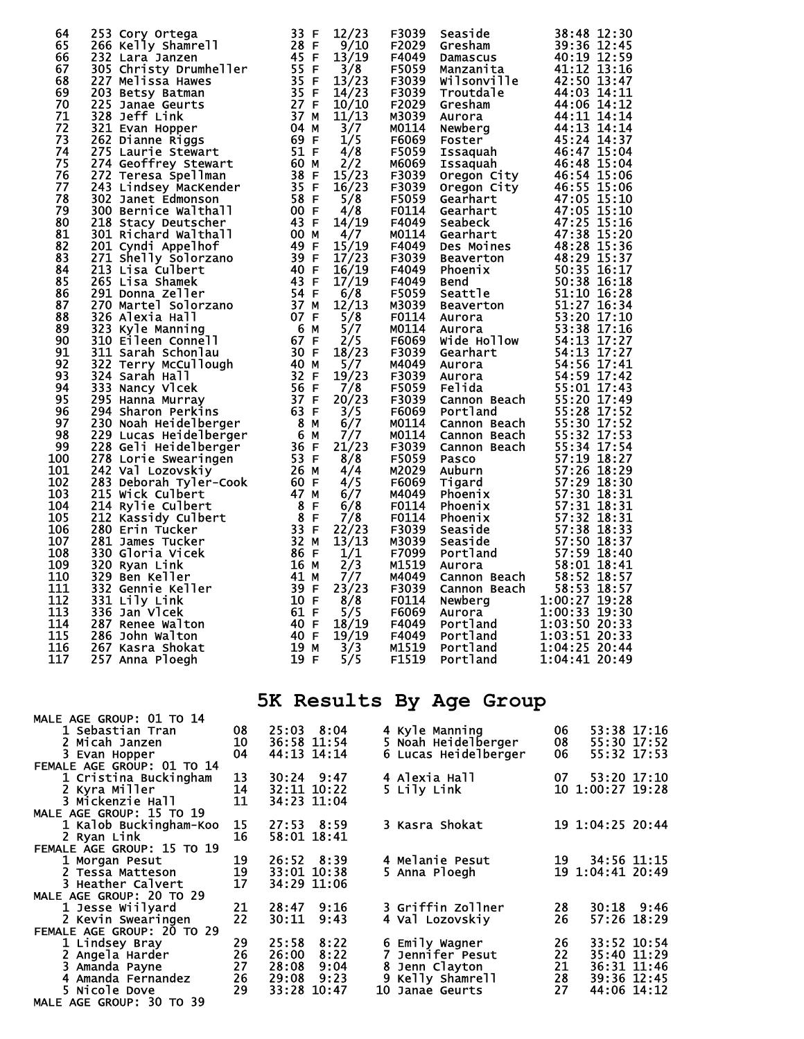| 253 Cory Ortega<br>253 Cory Ortega<br>232 Lara Janzen<br>232 Lara Janzen<br>232 Lara Janzen<br>232 Lara Janzen<br>265 Christy Drumheller<br>255 Dam Hopper<br>2023 Better Stewart<br>275 Janne Riggs<br>2621 Dianuré Stewart<br>275 Lauré Stewart<br>2<br>64<br>65<br>66<br>67<br>68<br>69<br>70<br>71<br>72<br>73<br>74<br>75<br>76<br>77<br>78<br>79<br>80<br>81<br>82<br>83<br>84<br>85<br>86<br>87<br>88<br>89<br>90<br>91<br>92<br>93<br>94<br>95<br>96<br>97<br>98<br>99<br>100<br>101<br>102<br>103<br>104<br>105<br>106<br>107<br>108<br>109<br>110<br>111<br>112<br>113<br>336 Jan Vlcek<br>114<br>287 Renee Walton<br>115<br>286 John Walton<br>116<br>267 Kasra Shokat<br>117<br>257 Anna Ploegh | 12/23<br>9/10<br>13/19<br>3/8<br>13/23<br>14/23<br>10/10<br>11/13<br>3/7<br>1/5<br>4/8<br>2/2<br>15/23<br>16/23<br>5/8<br>4/8<br>14/19<br>4/7<br>15/19<br>17/23<br>16/19<br>17/19<br>6/8<br>12/13<br>5/8<br>5/7<br>2/5<br>18/23<br>5/7<br>19/23<br>7/8<br>20/23<br>3/5<br>6/7<br>7/7<br>21/23<br>8/8<br>4/4<br>4/5<br>6/7<br>6/8<br>7/8<br>22/23<br>13/13<br>1/1<br>2/3<br>7/7<br>23/23<br>8/8<br>61 F<br>5/5<br>18/19<br>40 F<br>40 F<br>19/19<br>19 M<br>3/3<br>19F<br>5/5 | F3039 Seaside 38:48 12:30<br>F4049 Gresham 39:36 48 12:30<br>F4049 Damazous 39:36 12:45<br>F4049 Damazous 39:36 12:45<br>F5059 Maizzanita 44:10 13:15:16<br>F5059 Will solville 44:06 14:11<br>F5039 Troutdale 44:06 14:11<br>M30039 Gresha<br>F6069 Aurora 1:00:33 19:30<br>Portland<br>F4049<br>F4049<br>Portland<br>M1519<br>Portland<br>F1519<br>Portland | 1:03:50 20:33<br>1:03:51 20:33<br>1:04:25 20:44<br>1:04:41 20:49 |
|-------------------------------------------------------------------------------------------------------------------------------------------------------------------------------------------------------------------------------------------------------------------------------------------------------------------------------------------------------------------------------------------------------------------------------------------------------------------------------------------------------------------------------------------------------------------------------------------------------------------------------------------------------------------------------------------------------------|------------------------------------------------------------------------------------------------------------------------------------------------------------------------------------------------------------------------------------------------------------------------------------------------------------------------------------------------------------------------------------------------------------------------------------------------------------------------------|---------------------------------------------------------------------------------------------------------------------------------------------------------------------------------------------------------------------------------------------------------------------------------------------------------------------------------------------------------------|------------------------------------------------------------------|
|                                                                                                                                                                                                                                                                                                                                                                                                                                                                                                                                                                                                                                                                                                             |                                                                                                                                                                                                                                                                                                                                                                                                                                                                              | 5K Results By Age Group                                                                                                                                                                                                                                                                                                                                       |                                                                  |
| <b>MALE AGE GROUP: 01 TO 14</b><br>1 Sebastian Tran<br>08                                                                                                                                                                                                                                                                                                                                                                                                                                                                                                                                                                                                                                                   | 25:03 8:04                                                                                                                                                                                                                                                                                                                                                                                                                                                                   | 4 Kyle Manning                                                                                                                                                                                                                                                                                                                                                | 53:38 17:16<br>06                                                |
| 2 Micah Janzen<br>10<br>3 Evan Hopper<br>04                                                                                                                                                                                                                                                                                                                                                                                                                                                                                                                                                                                                                                                                 | 36:58 11:54<br>44:13 14:14                                                                                                                                                                                                                                                                                                                                                                                                                                                   | 5 Noah Heidelberger<br>6 Lucas Heidelberger                                                                                                                                                                                                                                                                                                                   | 55:30 17:52<br>08<br>55:32 17:53<br>06                           |
| FEMALE AGE GROUP: 01 TO 14<br>1 Cristina Buckingham<br>13                                                                                                                                                                                                                                                                                                                                                                                                                                                                                                                                                                                                                                                   | $30:24$ 9:47                                                                                                                                                                                                                                                                                                                                                                                                                                                                 | 4 Alexia Hall                                                                                                                                                                                                                                                                                                                                                 | 07 -<br>53:20 17:10                                              |
| 2 Kyra Miller<br>14<br>3 Mickenzie Hall<br>11                                                                                                                                                                                                                                                                                                                                                                                                                                                                                                                                                                                                                                                               | 32:11 10:22<br>34:23 11:04                                                                                                                                                                                                                                                                                                                                                                                                                                                   | 5 Lily Link                                                                                                                                                                                                                                                                                                                                                   | 10 1:00:27 19:28                                                 |
| <b>MALE AGE GROUP: 15 TO 19</b><br>1 Kalob Buckingham-Koo<br>15<br>2 Ryan Link<br>16                                                                                                                                                                                                                                                                                                                                                                                                                                                                                                                                                                                                                        | 27:53 8:59<br>58:01 18:41                                                                                                                                                                                                                                                                                                                                                                                                                                                    | 3 Kasra Shokat                                                                                                                                                                                                                                                                                                                                                | 19 1:04:25 20:44                                                 |
| <b>FEMALE AGE GROUP: 15 TO 19</b>                                                                                                                                                                                                                                                                                                                                                                                                                                                                                                                                                                                                                                                                           |                                                                                                                                                                                                                                                                                                                                                                                                                                                                              |                                                                                                                                                                                                                                                                                                                                                               |                                                                  |
| 19<br>1 Morgan Pesut<br>2 Tessa Matteson<br>19<br>3 Heather Calvert<br>17                                                                                                                                                                                                                                                                                                                                                                                                                                                                                                                                                                                                                                   | 26:52 8:39<br>33:01 10:38<br>34:29 11:06                                                                                                                                                                                                                                                                                                                                                                                                                                     | 4 Melanie Pesut<br>5 Anna Ploegh                                                                                                                                                                                                                                                                                                                              | 19<br>34:56 11:15<br>19 1:04:41 20:49                            |
| <b>MALE AGE GROUP: 20 TO 29</b><br>1 Jesse Wiilyard<br>21<br>2 Kevin Swearingen<br>22<br>FEMALE AGE GROUP: 20 TO 29                                                                                                                                                                                                                                                                                                                                                                                                                                                                                                                                                                                         | 28:47 9:16<br>30:11<br>9:43                                                                                                                                                                                                                                                                                                                                                                                                                                                  | 3 Griffin Zollner<br>4 Val Lozovskiy                                                                                                                                                                                                                                                                                                                          | 28<br>$30:18$ 9:46<br>57:26 18:29<br>26                          |

 1 Lindsey Bray 29 25:58 8:22 6 Emily Wagner 26 33:52 10:54 2 Angela Harder 26 26:00 8:22 7 Jennifer Pesut 22 35:40 11:29 3 Amanda Payne 27 28:08 9:04 8 Jenn Clayton 21 36:31 11:46 4 Amanda Fernandez 26 29:08 9:23 9 Kelly Shamrell 28 39:36 12:45 5 Nicole Dove 29 33:28 10:47 10 Janae Geurts 27 44:06 14:12

MALE AGE GROUP: 30 TO 39